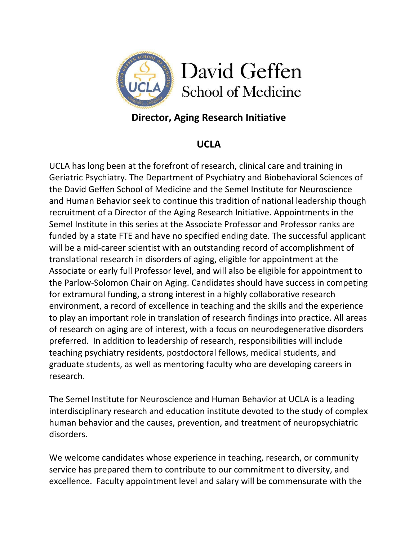

## **Director, Aging Research Initiative**

## **UCLA**

UCLA has long been at the forefront of research, clinical care and training in Geriatric Psychiatry. The Department of Psychiatry and Biobehavioral Sciences of the David Geffen School of Medicine and the Semel Institute for Neuroscience and Human Behavior seek to continue this tradition of national leadership though recruitment of a Director of the Aging Research Initiative. Appointments in the Semel Institute in this series at the Associate Professor and Professor ranks are funded by a state FTE and have no specified ending date. The successful applicant will be a mid-career scientist with an outstanding record of accomplishment of translational research in disorders of aging, eligible for appointment at the Associate or early full Professor level, and will also be eligible for appointment to the Parlow‐Solomon Chair on Aging. Candidates should have success in competing for extramural funding, a strong interest in a highly collaborative research environment, a record of excellence in teaching and the skills and the experience to play an important role in translation of research findings into practice. All areas of research on aging are of interest, with a focus on neurodegenerative disorders preferred. In addition to leadership of research, responsibilities will include teaching psychiatry residents, postdoctoral fellows, medical students, and graduate students, as well as mentoring faculty who are developing careers in research.

The Semel Institute for Neuroscience and Human Behavior at UCLA is a leading interdisciplinary research and education institute devoted to the study of complex human behavior and the causes, prevention, and treatment of neuropsychiatric disorders.

We welcome candidates whose experience in teaching, research, or community service has prepared them to contribute to our commitment to diversity, and excellence. Faculty appointment level and salary will be commensurate with the